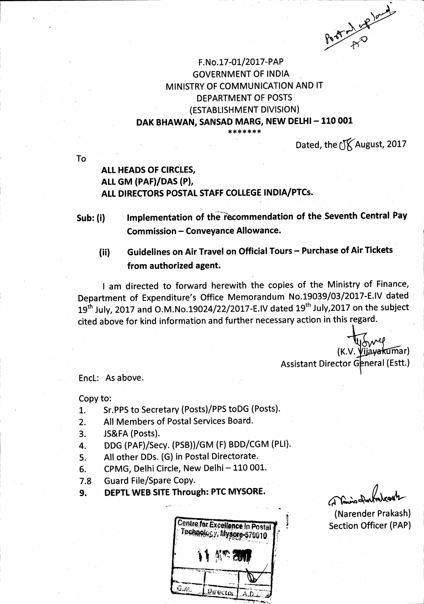Port of the food

## F.No.17-01/2017-PAP GOVERNMENT OF INDIA MINISTRY OF COMMUNICATION AND IT DEPARTMENT OF POSTS (ESTABLISHMENT DIVISION) DAK BHAWAN, SANSAD MARG, NEW DELHI - 110 001 \* \* \* \* \* \* <mark>\*</mark>

Dated, the  $\sqrt{\text{K}}$  August, 2017

To

# ALL HEADS OF CIRCIES, ALL GM (PAF)/DAS (P), ALL DIRECTORS POSTAL STAFF COLLEGE INDIA/PTCs.

Sub: (i) lmplementation of the recommendation of the Seventh Central Pay Commission - Conveyance Allowance.

Guidelines on Air Travel on Official Tours - Purchase of Air Tickets from authorized agent. (ii)

I am directed to forward herewith the copies of the Ministry of Finance, Department of Expenditure's Office Memorandum No.19039/03/2017-E.IV dated 19<sup>th</sup> July, 2017 and O.M.No.19024/22/2017-E.IV dated 19<sup>th</sup> July,2017 on the subject cited above for kind information and further necessary action in this regard.

> $(K.V.$  Vijayakumar) Assistant Director General (Estt.)

EncL: As above.

Copy to:

- 1. Sr.PPS to Secretary (Posts)/PPS toDG (Posts).
- 2. All Members of Postal Services Board.
- 3. JS&FA (Posts).
- 4. DDG (PAF)/secy. {PSB))/GM (F) BDD/CGM (PLl).
- 5. All other DDs. (G) in Postal Directorate.
- 6. CPMG, Delhi Circle, New Delhi 110 001.
- 7.8 Guard File/Spare Copy.
- 9. DEPTL WEB SITE Through: PTC MYSORE.

|  |              | Centre for Excellence In Postal |
|--|--------------|---------------------------------|
|  | <b>KREZW</b> |                                 |
|  |              |                                 |
|  | Director 1   |                                 |

 $\theta$ (A Vanis Dun)

(Narender Prakash) Section Officer (PAP)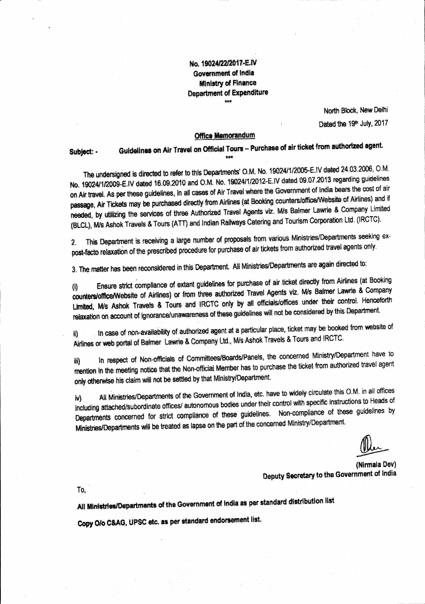No. 19024/22/2017-E.IV **Government of India Ministry of Finance Department of Expenditure** 

> North Block, New Delhi Dated the 19th July, 2017

### **Office Memorandum**

Guidelines on Air Travel on Official Tours - Purchase of air ticket from authorized agent. Subject: -

The undersigned is directed to refer to this Departments' O.M. No. 19024/1/2005-E.IV dated 24.03.2006, O.M. No. 19024/1/2009-E.IV dated 16.09.2010 and O.M. No. 19024/1/2012-E.IV dated 09.07.2013 regarding guidelines on Air travel. As per these guidelines, in all cases of Air Travel where the Government of India bears the cost of air passage, Air Tickets may be purchased directly from Airlines (at Booking counters/office/Website of Airlines) and if needed, by utilizing the services of three Authorized Travel Agents viz. M/s Balmer Lawrie & Company Limited (BLCL), M/s Ashok Travels & Tours (ATT) and Indian Railways Catering and Tourism Corporation Ltd. (IRCTC).

This Department is receiving a large number of proposals from various Ministries/Departments seeking ex-2. post-facto relaxation of the prescribed procedure for purchase of air tickets from authorized travel agents only.

3. The matter has been reconsidered in this Department. All Ministries/Departments are again directed to:

Ensure strict compliance of extant guidelines for purchase of air ticket directly from Airlines (at Booking  $^{(i)}$ counters/office/Website of Airlines) or from three authorized Travel Agents viz. M/s Balmer Lawrie & Company Limited, M/s Ashok Travels & Tours and IRCTC only by all officials/offices under their control. Henceforth relaxation on account of ignorance/unawareness of these guidelines will not be considered by this Department.

In case of non-availability of authorized agent at a particular place, ticket may be booked from website of W) Airlines or web portal of Balmer Lawrie & Company Ltd., M/s Ashok Travels & Tours and IRCTC.

In respect of Non-officials of Committees/Boards/Panels, the concerned Ministry/Department have to iii) mention in the meeting notice that the Non-official Member has to purchase the ticket from authorized travel agent only otherwise his claim will not be settled by that Ministry/Department.

All Ministries/Departments of the Government of India, etc. have to widely circulate this O.M. in all offices iv) including attached/subordinate offices/ autonomous bodies under their control with specific instructions to Heads of Departments concerned for strict compliance of these guidelines. Non-compliance of these guidelines by Ministries/Departments will be treated as lapse on the part of the concerned Ministry/Department.

(Nirmala Dev) Deputy Secretary to the Government of India

To.

All Ministries/Departments of the Government of India as per standard distribution list

Copy O/o C&AG, UPSC etc. as per standard endorsement list.